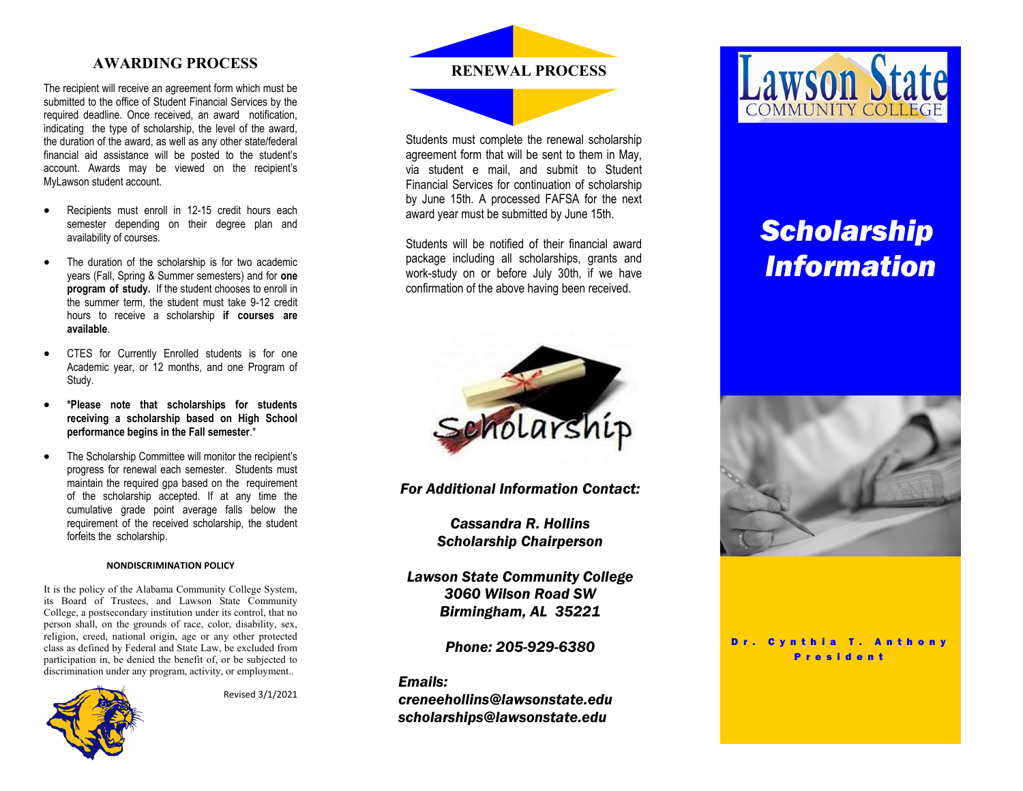The recipient will receive an agreement form which must be submitted to the office of Student Financial Services by the required deadline. Once received, an award notification, indicating the type of scholarship, the level of the award, the duration of the award, as well as any other state/federal financial aid assistance will be posted to the student's account. Awards may be viewed on the recipient's MyLawson student account.

- Recipients must enroll in 12-15 credit hours each semester depending on their degree plan and availability of courses.
- The duration of the scholarship is for two academic years (Fall, Spring & Summer semesters) and for **one program of study.** If the student chooses to enroll in the summer term, the student must take 9-12 credit hours to receive a scholarship **if courses are available**.
- CTES for Currently Enrolled students is for one Academic year, or 12 months, and one Program of Study.
- **\*Please note that scholarships for students receiving a scholarship based on High School performance begins in the Fall semester**.\*
- The Scholarship Committee will monitor the recipient's progress for renewal each semester. Students must maintain the required gpa based on the requirement of the scholarship accepted. If at any time the cumulative grade point average falls below the requirement of the received scholarship, the student forfeits the scholarship.

### **NONDISCRIMINATION POLICY**

It is the policy of the Alabama Community College System, its Board of Trustees, and Lawson State Community College, a postsecondary institution under its control, that no person shall, on the grounds of race, color, disability, sex, religion, creed, national origin, age or any other protected class as defined by Federal and State Law, be excluded from participation in, be denied the benefit of, or be subjected to discrimination under any program, activity, or employment..



Revised 3/1/2021



Students must complete the renewal scholarship agreement form that will be sent to them in May, via student e mail, and submit to Student Financial Services for continuation of scholarship by June 15th. A processed FAFSA for the next award year must be submitted by June 15th.

Students will be notified of their financial award package including all scholarships, grants and work-study on or before July 30th, if we have confirmation of the above having been received.



*For Additional Information Contact:*

*Cassandra R. Hollins Scholarship Chairperson*

*Lawson State Community College 3060 Wilson Road SW Birmingham, AL 35221*

*Phone: 205-929-6380*

# *Emails:*

*creneehollins@lawsonstate.edu scholarships@lawsonstate.edu*



# *Scholarship Information*



Dr. Cynthia T. Anthony P r e s i d e n t